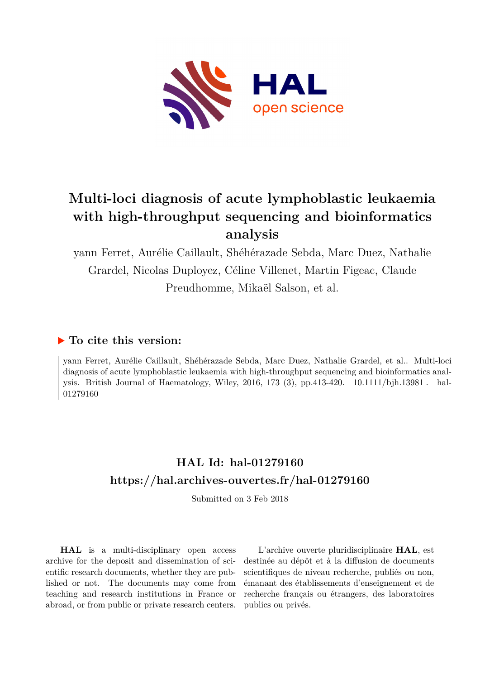

# **Multi-loci diagnosis of acute lymphoblastic leukaemia with high-throughput sequencing and bioinformatics analysis**

yann Ferret, Aurélie Caillault, Shéhérazade Sebda, Marc Duez, Nathalie Grardel, Nicolas Duployez, Céline Villenet, Martin Figeac, Claude Preudhomme, Mikaël Salson, et al.

# **To cite this version:**

yann Ferret, Aurélie Caillault, Shéhérazade Sebda, Marc Duez, Nathalie Grardel, et al.. Multi-loci diagnosis of acute lymphoblastic leukaemia with high-throughput sequencing and bioinformatics analysis. British Journal of Haematology, Wiley, 2016, 173 (3), pp.413-420. 10.1111/bjh.13981. hal-01279160ff

# **HAL Id: hal-01279160 <https://hal.archives-ouvertes.fr/hal-01279160>**

Submitted on 3 Feb 2018

**HAL** is a multi-disciplinary open access archive for the deposit and dissemination of scientific research documents, whether they are published or not. The documents may come from teaching and research institutions in France or abroad, or from public or private research centers.

L'archive ouverte pluridisciplinaire **HAL**, est destinée au dépôt et à la diffusion de documents scientifiques de niveau recherche, publiés ou non, émanant des établissements d'enseignement et de recherche français ou étrangers, des laboratoires publics ou privés.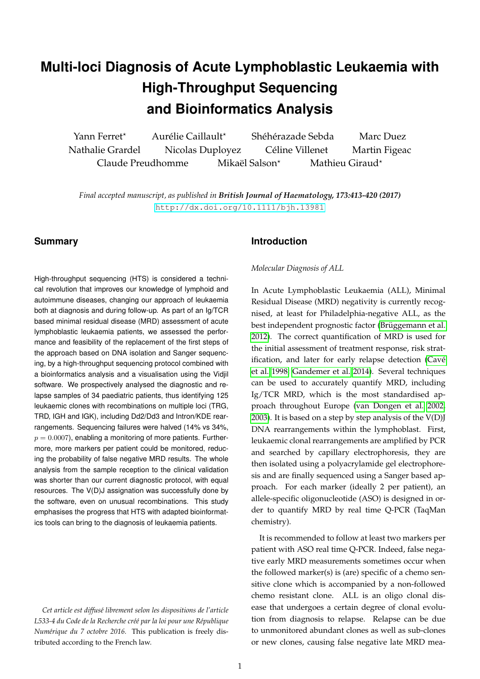# **Multi-loci Diagnosis of Acute Lymphoblastic Leukaemia with High-Throughput Sequencing and Bioinformatics Analysis**

Yann Ferret<sup>\*</sup> Aurélie Caillault<sup>\*</sup> Shéhérazade Sebda Marc Duez Nathalie Grardel Nicolas Duployez Celine Villenet Martin Figeac ´ Claude Preudhomme Mikaël Salson\* Mathieu Giraud\*

*Final accepted manuscript, as published in British Journal of Haematology, 173:413-420 (2017)* <http://dx.doi.org/10.1111/bjh.13981>

# **Summary**

High-throughput sequencing (HTS) is considered a technical revolution that improves our knowledge of lymphoid and autoimmune diseases, changing our approach of leukaemia both at diagnosis and during follow-up. As part of an Ig/TCR based minimal residual disease (MRD) assessment of acute lymphoblastic leukaemia patients, we assessed the performance and feasibility of the replacement of the first steps of the approach based on DNA isolation and Sanger sequencing, by a high-throughput sequencing protocol combined with a bioinformatics analysis and a visualisation using the Vidjil software. We prospectively analysed the diagnostic and relapse samples of 34 paediatric patients, thus identifying 125 leukaemic clones with recombinations on multiple loci (TRG, TRD, IGH and IGK), including Dd2/Dd3 and Intron/KDE rearrangements. Sequencing failures were halved (14% vs 34%,  $p = 0.0007$ , enabling a monitoring of more patients. Furthermore, more markers per patient could be monitored, reducing the probability of false negative MRD results. The whole analysis from the sample reception to the clinical validation was shorter than our current diagnostic protocol, with equal resources. The V(D)J assignation was successfully done by the software, even on unusual recombinations. This study emphasises the progress that HTS with adapted bioinformatics tools can bring to the diagnosis of leukaemia patients.

*Cet article est diffus´e librement selon les dispositions de l'article* L533-4 du Code de la Recherche créé par la loi pour une République *Numérique du 7 octobre 2016.* This publication is freely distributed according to the French law.

# **Introduction**

*Molecular Diagnosis of ALL*

In Acute Lymphoblastic Leukaemia (ALL), Minimal Residual Disease (MRD) negativity is currently recognised, at least for Philadelphia-negative ALL, as the best independent prognostic factor (Brüggemann et al. 2012). The correct quantification of MRD is used for the initial assessment of treatment response, risk stratification, and later for early relapse detection (Cavé et al. 1998; Gandemer et al. 2014). Several techniques can be used to accurately quantify MRD, including Ig/TCR MRD, which is the most standardised approach throughout Europe (van Dongen et al. 2002, 2003). It is based on a step by step analysis of the  $V(D)$ DNA rearrangements within the lymphoblast. First, leukaemic clonal rearrangements are amplified by PCR and searched by capillary electrophoresis, they are then isolated using a polyacrylamide gel electrophoresis and are finally sequenced using a Sanger based approach. For each marker (ideally 2 per patient), an allele-specific oligonucleotide (ASO) is designed in order to quantify MRD by real time Q-PCR (TaqMan chemistry).

It is recommended to follow at least two markers per patient with ASO real time Q-PCR. Indeed, false negative early MRD measurements sometimes occur when the followed marker(s) is (are) specific of a chemo sensitive clone which is accompanied by a non-followed chemo resistant clone. ALL is an oligo clonal disease that undergoes a certain degree of clonal evolution from diagnosis to relapse. Relapse can be due to unmonitored abundant clones as well as sub-clones or new clones, causing false negative late MRD mea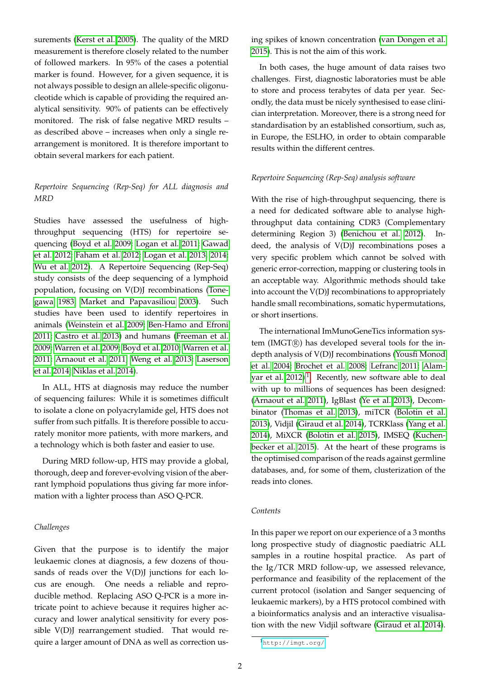surements (Kerst et al. 2005). The quality of the MRD measurement is therefore closely related to the number of followed markers. In 95% of the cases a potential marker is found. However, for a given sequence, it is not always possible to design an allele-specific oligonucleotide which is capable of providing the required analytical sensitivity. 90% of patients can be effectively monitored. The risk of false negative MRD results – as described above – increases when only a single rearrangement is monitored. It is therefore important to obtain several markers for each patient.

# *Repertoire Sequencing (Rep-Seq) for ALL diagnosis and MRD*

Studies have assessed the usefulness of highthroughput sequencing (HTS) for repertoire sequencing (Boyd et al. 2009; Logan et al. 2011; Gawad et al. 2012; Faham et al. 2012; Logan et al. 2013, 2014; Wu et al. 2012). A Repertoire Sequencing (Rep-Seq) study consists of the deep sequencing of a lymphoid population, focusing on V(D)J recombinations (Tonegawa 1983; Market and Papavasiliou 2003). Such studies have been used to identify repertoires in animals (Weinstein et al. 2009; Ben-Hamo and Efroni 2011; Castro et al. 2013) and humans (Freeman et al. 2009; Warren et al. 2009; Boyd et al. 2010; Warren et al. 2011; Arnaout et al. 2011; Weng et al. 2013; Laserson et al. 2014; Niklas et al. 2014).

In ALL, HTS at diagnosis may reduce the number of sequencing failures: While it is sometimes difficult to isolate a clone on polyacrylamide gel, HTS does not suffer from such pitfalls. It is therefore possible to accurately monitor more patients, with more markers, and a technology which is both faster and easier to use.

During MRD follow-up, HTS may provide a global, thorough, deep and forever-evolving vision of the aberrant lymphoid populations thus giving far more information with a lighter process than ASO Q-PCR.

#### *Challenges*

Given that the purpose is to identify the major leukaemic clones at diagnosis, a few dozens of thousands of reads over the V(D)J junctions for each locus are enough. One needs a reliable and reproducible method. Replacing ASO Q-PCR is a more intricate point to achieve because it requires higher accuracy and lower analytical sensitivity for every possible V(D)J rearrangement studied. That would require a larger amount of DNA as well as correction using spikes of known concentration (van Dongen et al. 2015). This is not the aim of this work.

In both cases, the huge amount of data raises two challenges. First, diagnostic laboratories must be able to store and process terabytes of data per year. Secondly, the data must be nicely synthesised to ease clinician interpretation. Moreover, there is a strong need for standardisation by an established consortium, such as, in Europe, the ESLHO, in order to obtain comparable results within the different centres.

#### *Repertoire Sequencing (Rep-Seq) analysis software*

With the rise of high-throughput sequencing, there is a need for dedicated software able to analyse highthroughput data containing CDR3 (Complementary determining Region 3) (Benichou et al. 2012). Indeed, the analysis of V(D)J recombinations poses a very specific problem which cannot be solved with generic error-correction, mapping or clustering tools in an acceptable way. Algorithmic methods should take into account the V(D)J recombinations to appropriately handle small recombinations, somatic hypermutations, or short insertions.

The international ImMunoGeneTics information system ( $IMGT(\overline{R})$ ) has developed several tools for the indepth analysis of V(D)J recombinations (Yousfi Monod et al. 2004; Brochet et al. 2008; Lefranc 2011; Alamyar et al.  $2012$ <sup>1</sup>. Recently, new software able to deal with up to millions of sequences has been designed: (Arnaout et al. 2011), IgBlast (Ye et al. 2013), Decombinator (Thomas et al. 2013), miTCR (Bolotin et al. 2013), Vidjil (Giraud et al. 2014), TCRKlass (Yang et al. 2014), MiXCR (Bolotin et al. 2015), IMSEQ (Kuchenbecker et al. 2015). At the heart of these programs is the optimised comparison of the reads against germline databases, and, for some of them, clusterization of the reads into clones.

#### *Contents*

In this paper we report on our experience of a 3 months long prospective study of diagnostic paediatric ALL samples in a routine hospital practice. As part of the Ig/TCR MRD follow-up, we assessed relevance, performance and feasibility of the replacement of the current protocol (isolation and Sanger sequencing of leukaemic markers), by a HTS protocol combined with a bioinformatics analysis and an interactive visualisation with the new Vidjil software (Giraud et al. 2014).

<sup>1</sup><http://imgt.org/>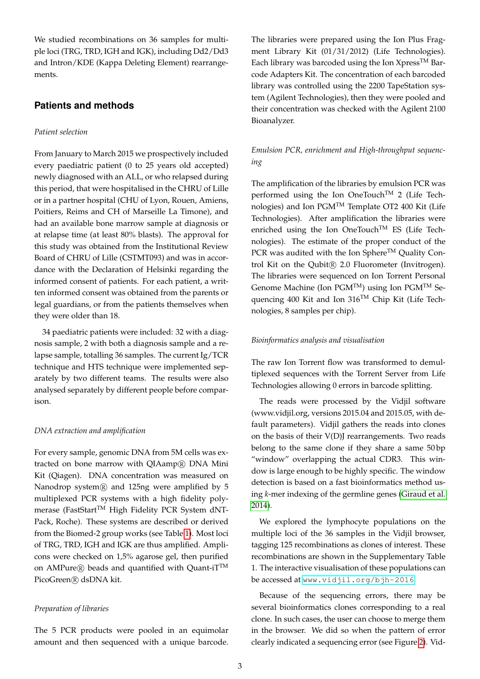We studied recombinations on 36 samples for multiple loci (TRG, TRD, IGH and IGK), including Dd2/Dd3 and Intron/KDE (Kappa Deleting Element) rearrangements.

# **Patients and methods**

# *Patient selection*

From January to March 2015 we prospectively included every paediatric patient (0 to 25 years old accepted) newly diagnosed with an ALL, or who relapsed during this period, that were hospitalised in the CHRU of Lille or in a partner hospital (CHU of Lyon, Rouen, Amiens, Poitiers, Reims and CH of Marseille La Timone), and had an available bone marrow sample at diagnosis or at relapse time (at least 80% blasts). The approval for this study was obtained from the Institutional Review Board of CHRU of Lille (CSTMT093) and was in accordance with the Declaration of Helsinki regarding the informed consent of patients. For each patient, a written informed consent was obtained from the parents or legal guardians, or from the patients themselves when they were older than 18.

34 paediatric patients were included: 32 with a diagnosis sample, 2 with both a diagnosis sample and a relapse sample, totalling 36 samples. The current Ig/TCR technique and HTS technique were implemented separately by two different teams. The results were also analysed separately by different people before comparison.

#### *DNA extraction and amplification*

For every sample, genomic DNA from 5M cells was extracted on bone marrow with QIAamp® DNA Mini Kit (Qiagen). DNA concentration was measured on Nanodrop system<sup>®</sup> and 125ng were amplified by 5 multiplexed PCR systems with a high fidelity polymerase (FastStart<sup>TM</sup> High Fidelity PCR System dNT-Pack, Roche). These systems are described or derived from the Biomed-2 group works (see Table 1). Most loci of TRG, TRD, IGH and IGK are thus amplified. Amplicons were checked on 1,5% agarose gel, then purified on AMPure $\mathbb R$  beads and quantified with Quant-iT<sup>TM</sup> PicoGreen<sup>(R)</sup> dsDNA kit.

#### *Preparation of libraries*

The 5 PCR products were pooled in an equimolar amount and then sequenced with a unique barcode.

The libraries were prepared using the Ion Plus Fragment Library Kit (01/31/2012) (Life Technologies). Each library was barcoded using the Ion  $X$ press<sup>TM</sup> Barcode Adapters Kit. The concentration of each barcoded library was controlled using the 2200 TapeStation system (Agilent Technologies), then they were pooled and their concentration was checked with the Agilent 2100 Bioanalyzer.

# *Emulsion PCR, enrichment and High-throughput sequencing*

The amplification of the libraries by emulsion PCR was performed using the Ion OneTouchTM 2 (Life Technologies) and Ion PGMTM Template OT2 400 Kit (Life Technologies). After amplification the libraries were enriched using the Ion OneTouch™ ES (Life Technologies). The estimate of the proper conduct of the PCR was audited with the Ion Sphere<sup>TM</sup> Quality Control Kit on the Qubit<sup>(R)</sup> 2.0 Fluorometer (Invitrogen). The libraries were sequenced on Ion Torrent Personal Genome Machine (Ion PGMTM) using Ion PGMTM Sequencing 400 Kit and Ion 316TM Chip Kit (Life Technologies, 8 samples per chip).

#### *Bioinformatics analysis and visualisation*

The raw Ion Torrent flow was transformed to demultiplexed sequences with the Torrent Server from Life Technologies allowing 0 errors in barcode splitting.

The reads were processed by the Vidjil software (www.vidjil.org, versions 2015.04 and 2015.05, with default parameters). Vidjil gathers the reads into clones on the basis of their V(D)J rearrangements. Two reads belong to the same clone if they share a same 50 bp "window" overlapping the actual CDR3. This window is large enough to be highly specific. The window detection is based on a fast bioinformatics method using *k*-mer indexing of the germline genes (Giraud et al. 2014).

We explored the lymphocyte populations on the multiple loci of the 36 samples in the Vidjil browser, tagging 125 recombinations as clones of interest. These recombinations are shown in the Supplementary Table 1. The interactive visualisation of these populations can be accessed at <www.vidjil.org/bjh-2016>.

Because of the sequencing errors, there may be several bioinformatics clones corresponding to a real clone. In such cases, the user can choose to merge them in the browser. We did so when the pattern of error clearly indicated a sequencing error (see Figure 2). Vid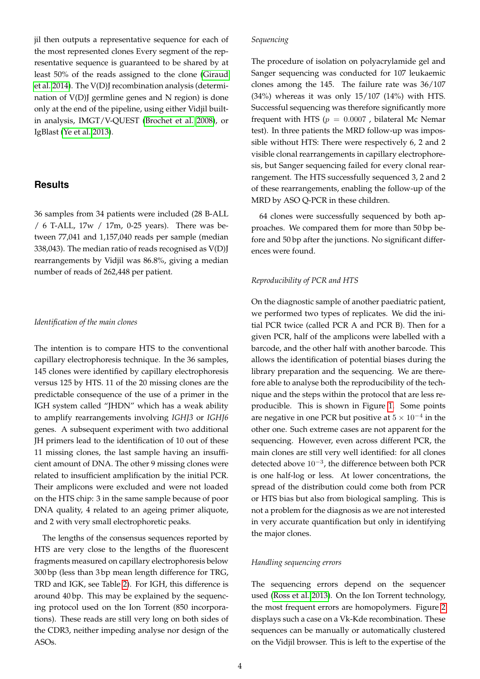jil then outputs a representative sequence for each of the most represented clones Every segment of the representative sequence is guaranteed to be shared by at least 50% of the reads assigned to the clone (Giraud et al. 2014). The V(D)J recombination analysis (determination of V(D)J germline genes and N region) is done only at the end of the pipeline, using either Vidjil builtin analysis, IMGT/V-QUEST (Brochet et al. 2008), or IgBlast (Ye et al. 2013).

# **Results**

36 samples from 34 patients were included (28 B-ALL / 6 T-ALL, 17w / 17m, 0-25 years). There was between 77,041 and 1,157,040 reads per sample (median 338,043). The median ratio of reads recognised as V(D)J rearrangements by Vidjil was 86.8%, giving a median number of reads of 262,448 per patient.

#### *Identification of the main clones*

The intention is to compare HTS to the conventional capillary electrophoresis technique. In the 36 samples, 145 clones were identified by capillary electrophoresis versus 125 by HTS. 11 of the 20 missing clones are the predictable consequence of the use of a primer in the IGH system called "JHDN" which has a weak ability to amplify rearrangements involving *IGHJ3* or *IGHJ6* genes. A subsequent experiment with two additional JH primers lead to the identification of 10 out of these 11 missing clones, the last sample having an insufficient amount of DNA. The other 9 missing clones were related to insufficient amplification by the initial PCR. Their amplicons were excluded and were not loaded on the HTS chip: 3 in the same sample because of poor DNA quality, 4 related to an ageing primer aliquote, and 2 with very small electrophoretic peaks.

The lengths of the consensus sequences reported by HTS are very close to the lengths of the fluorescent fragments measured on capillary electrophoresis below 300 bp (less than 3 bp mean length difference for TRG, TRD and IGK, see Table 2). For IGH, this difference is around 40 bp. This may be explained by the sequencing protocol used on the Ion Torrent (850 incorporations). These reads are still very long on both sides of the CDR3, neither impeding analyse nor design of the ASOs.

#### *Sequencing*

The procedure of isolation on polyacrylamide gel and Sanger sequencing was conducted for 107 leukaemic clones among the 145. The failure rate was 36/107 (34%) whereas it was only 15/107 (14%) with HTS. Successful sequencing was therefore significantly more frequent with HTS ( $p = 0.0007$ , bilateral Mc Nemar test). In three patients the MRD follow-up was impossible without HTS: There were respectively 6, 2 and 2 visible clonal rearrangements in capillary electrophoresis, but Sanger sequencing failed for every clonal rearrangement. The HTS successfully sequenced 3, 2 and 2 of these rearrangements, enabling the follow-up of the MRD by ASO Q-PCR in these children.

64 clones were successfully sequenced by both approaches. We compared them for more than 50 bp before and 50 bp after the junctions. No significant differences were found.

# *Reproducibility of PCR and HTS*

On the diagnostic sample of another paediatric patient, we performed two types of replicates. We did the initial PCR twice (called PCR A and PCR B). Then for a given PCR, half of the amplicons were labelled with a barcode, and the other half with another barcode. This allows the identification of potential biases during the library preparation and the sequencing. We are therefore able to analyse both the reproducibility of the technique and the steps within the protocol that are less reproducible. This is shown in Figure 1. Some points are negative in one PCR but positive at  $5 \times 10^{-4}$  in the other one. Such extreme cases are not apparent for the sequencing. However, even across different PCR, the main clones are still very well identified: for all clones detected above 10−<sup>3</sup> , the difference between both PCR is one half-log or less. At lower concentrations, the spread of the distribution could come both from PCR or HTS bias but also from biological sampling. This is not a problem for the diagnosis as we are not interested in very accurate quantification but only in identifying the major clones.

# *Handling sequencing errors*

The sequencing errors depend on the sequencer used (Ross et al. 2013). On the Ion Torrent technology, the most frequent errors are homopolymers. Figure 2 displays such a case on a Vk-Kde recombination. These sequences can be manually or automatically clustered on the Vidjil browser. This is left to the expertise of the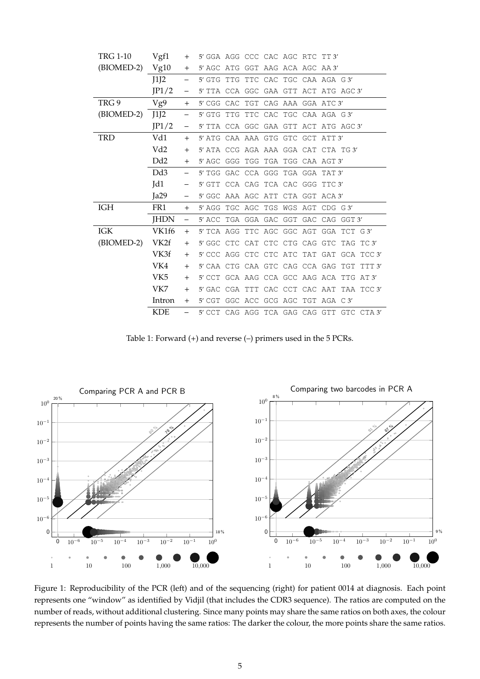| <b>TRG 1-10</b> | Vgf1        | $^{+}$                   | 5' GGA AGG CCC CAC AGC RTC TT3'           |        |
|-----------------|-------------|--------------------------|-------------------------------------------|--------|
| (BIOMED-2)      | Vg10        | $^{+}$                   | 5' AGC ATG GGT AAG ACA AGC AA 3'          |        |
|                 | J1J2        |                          | 5' GTG TTG TTC CAC TGC CAA AGA G3'        |        |
|                 | JP1/2       |                          | 5' TTA CCA GGC GAA GTT ACT ATG AGC 3'     |        |
| TRG 9           | Vg9         | $+$                      | 5' CGG CAC TGT CAG AAA GGA ATC 3'         |        |
| (BIOMED-2)      | J1J2        | $\overline{\phantom{0}}$ | 5' GTG TTG TTC CAC TGC CAA AGA G3'        |        |
|                 | IP1/2       | $\qquad \qquad -$        | 5' TTA CCA GGC GAA GTT ACT ATG AGC 3'     |        |
| TRD             | Vd1         | $^{+}$                   | 5' ATG CAA AAA GTG GTC GCT ATT 3'         |        |
|                 | Vd2         | $+$                      | 5' ATA CCG AGA AAA GGA CAT CTA TG3'       |        |
|                 | Dd2         | $+$                      | 5' AGC GGG TGG TGA TGG CAA AGT 3'         |        |
|                 | Dd3         | $\qquad \qquad -$        | 5' TGG GAC CCA GGG TGA GGA TAT 3'         |        |
|                 | Id1         |                          | 5' GTT CCA CAG TCA CAC GGG TTC 3'         |        |
|                 | Ia29        |                          | 5' GGC AAA AGC ATT CTA GGT ACA 3'         |        |
| IGH             | FR1         | $^{+}$                   | 5' AGG TGC AGC TGS WGS AGT CDG G3'        |        |
|                 | <b>JHDN</b> | —                        | 5' ACC TGA GGA GAC GGT GAC CAG GGT 3'     |        |
| IGK             | VK1f6       | $+$                      | 5'TCA AGG TTC AGC GGC AGT GGA TCT G3'     |        |
| (BIOMED-2)      | VK2f        | $^{+}$                   | 5' GGC CTC CAT CTC CTG CAG GTC TAG TC 3'  |        |
|                 | VK3f        | $+$                      | 5' CCC AGG CTC CTC ATC TAT GAT GCA TCC 3' |        |
|                 | VK4         | $+$                      | 5' CAA CTG CAA GTC CAG CCA GAG TGT        | TTT 3' |
|                 | VK5         | $+$                      | 5' CCT GCA AAG CCA GCC AAG ACA TTG AT 3'  |        |
|                 | VK7         | $+$                      | 5' GAC CGA TTT CAC CCT CAC AAT TAA TCC 3' |        |
|                 | Intron      | $^{+}$                   | 5' CGT GGC ACC GCG AGC TGT AGA C 3'       |        |
|                 | KDE         |                          | 5'CCT CAG AGG TCA GAG CAG GTT GTC CTA 3'  |        |

Table 1: Forward (+) and reverse (–) primers used in the 5 PCRs.



Figure 1: Reproducibility of the PCR (left) and of the sequencing (right) for patient 0014 at diagnosis. Each point represents one "window" as identified by Vidjil (that includes the CDR3 sequence). The ratios are computed on the number of reads, without additional clustering. Since many points may share the same ratios on both axes, the colour represents the number of points having the same ratios: The darker the colour, the more points share the same ratios.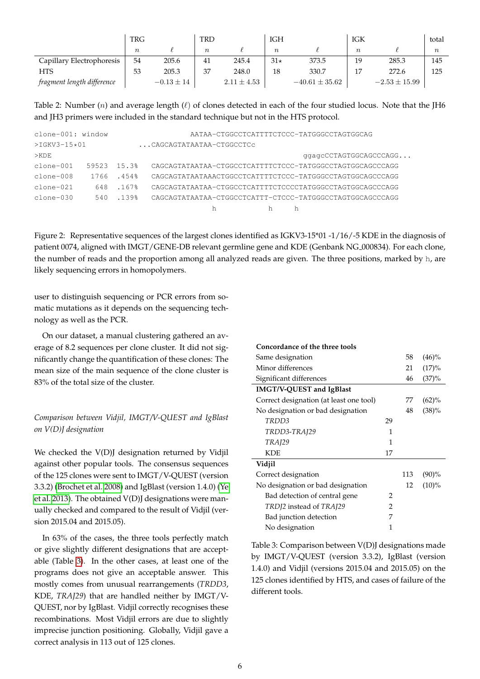|                            | TRG              |                | <b>TRD</b>       |                 | <b>IGH</b>       |                    | IGK              |                   | total  |
|----------------------------|------------------|----------------|------------------|-----------------|------------------|--------------------|------------------|-------------------|--------|
|                            | $\boldsymbol{n}$ |                | $\boldsymbol{n}$ |                 | $\boldsymbol{n}$ |                    | $\boldsymbol{n}$ |                   | $\, n$ |
| Capillary Electrophoresis  | 54               | 205.6          | 41               | 245.4           | $31\star$        | 373.5              | 19               | 285.3             | 145    |
| <b>HTS</b>                 | 53               | 205.3          | 37               | 248.0           | 18               | 330.7              |                  | 272.6             | 125    |
| fragment length difference |                  | $-0.13 \pm 14$ |                  | $2.11 \pm 4.53$ |                  | $-40.61 \pm 35.62$ |                  | $-2.53 \pm 15.99$ |        |

Table 2: Number  $(n)$  and average length  $(\ell)$  of clones detected in each of the four studied locus. Note that the JH6 and JH3 primers were included in the standard technique but not in the HTS protocol.

| $clone-001:$ window     |       |          | AATAA-CTGGCCTCATTTTCTCCC-TATGGGCCTAGTGGCAG                |
|-------------------------|-------|----------|-----------------------------------------------------------|
| $>$ TGKV3-15 $\star$ 01 |       |          | CAGCAGTATAATAA-CTGGCCTCc                                  |
| $>$ KDE                 |       |          | qqaqcCCTAGTGGCAGCCCAGG                                    |
| $clone-001$             | 59523 | 15.3%    | CAGCAGTATAATAA-CTGGCCTCATTTTCTCCC-TATGGGCCTAGTGGCAGCCCAGG |
| $clone-008$             | 1766  | .454%    | CAGCAGTATAATAAACTGGCCTCATTTTCTCCC-TATGGGCCTAGTGGCAGCCCAGG |
| $clone-021$             | 648   | .167%    | CAGCAGTATAATAA-CTGGCCTCATTTTCTCCCCTATGGGCCTAGTGGCAGCCCAGG |
| $clone-0.30$            | 540   | $.139$ . | CAGCAGTATAATAA-CTGGCCTCATTT-CTCCC-TATGGGCCTAGTGGCAGCCCAGG |
|                         |       |          | h<br>h                                                    |

Figure 2: Representative sequences of the largest clones identified as IGKV3-15\*01 -1/16/-5 KDE in the diagnosis of patient 0074, aligned with IMGT/GENE-DB relevant germline gene and KDE (Genbank NG<sub>-000834</sub>). For each clone, the number of reads and the proportion among all analyzed reads are given. The three positions, marked by h, are likely sequencing errors in homopolymers.

user to distinguish sequencing or PCR errors from somatic mutations as it depends on the sequencing technology as well as the PCR.

On our dataset, a manual clustering gathered an average of 8.2 sequences per clone cluster. It did not significantly change the quantification of these clones: The mean size of the main sequence of the clone cluster is 83% of the total size of the cluster.

# *Comparison between Vidjil, IMGT/V-QUEST and IgBlast on V(D)J designation*

We checked the V(D)J designation returned by Vidjil against other popular tools. The consensus sequences of the 125 clones were sent to IMGT/V-QUEST (version 3.3.2) (Brochet et al. 2008) and IgBlast (version 1.4.0) (Ye et al. 2013). The obtained V(D)J designations were manually checked and compared to the result of Vidjil (version 2015.04 and 2015.05).

In 63% of the cases, the three tools perfectly match or give slightly different designations that are acceptable (Table 3). In the other cases, at least one of the programs does not give an acceptable answer. This mostly comes from unusual rearrangements (*TRDD3*, KDE, *TRAJ29*) that are handled neither by IMGT/V-QUEST, nor by IgBlast. Vidjil correctly recognises these recombinations. Most Vidjil errors are due to slightly imprecise junction positioning. Globally, Vidjil gave a correct analysis in 113 out of 125 clones.

|    | 58  | $(46)\%$ |
|----|-----|----------|
|    | 21  | (17)%    |
|    | 46  | (37)%    |
|    |     |          |
|    | 77  | (62)%    |
|    | 48  | (38)%    |
| 29 |     |          |
| 1  |     |          |
| 1  |     |          |
| 17 |     |          |
|    |     |          |
|    | 113 | (90)%    |
|    | 12  | $(10)\%$ |
| 2  |     |          |
| 2  |     |          |
| 7  |     |          |
| 1  |     |          |
|    |     |          |

Table 3: Comparison between V(D)J designations made by IMGT/V-QUEST (version 3.3.2), IgBlast (version 1.4.0) and Vidjil (versions 2015.04 and 2015.05) on the 125 clones identified by HTS, and cases of failure of the different tools.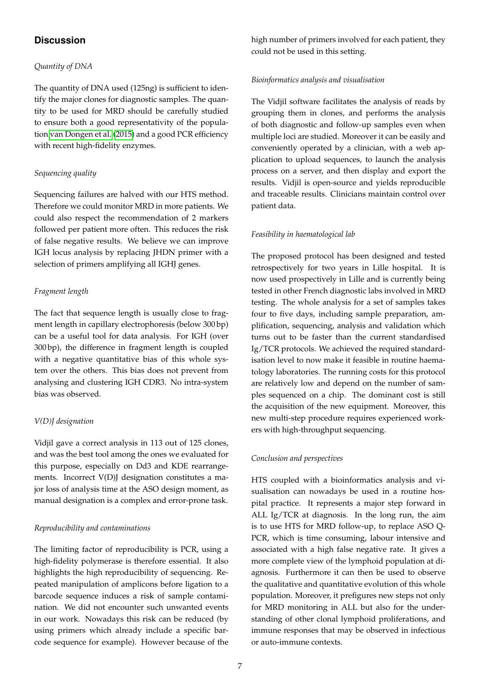# **Discussion**

# *Quantity of DNA*

The quantity of DNA used (125ng) is sufficient to identify the major clones for diagnostic samples. The quantity to be used for MRD should be carefully studied to ensure both a good representativity of the population van Dongen et al. (2015) and a good PCR efficiency with recent high-fidelity enzymes.

# *Sequencing quality*

Sequencing failures are halved with our HTS method. Therefore we could monitor MRD in more patients. We could also respect the recommendation of 2 markers followed per patient more often. This reduces the risk of false negative results. We believe we can improve IGH locus analysis by replacing JHDN primer with a selection of primers amplifying all IGHJ genes.

# *Fragment length*

The fact that sequence length is usually close to fragment length in capillary electrophoresis (below 300 bp) can be a useful tool for data analysis. For IGH (over 300 bp), the difference in fragment length is coupled with a negative quantitative bias of this whole system over the others. This bias does not prevent from analysing and clustering IGH CDR3. No intra-system bias was observed.

# *V(D)J designation*

Vidjil gave a correct analysis in 113 out of 125 clones, and was the best tool among the ones we evaluated for this purpose, especially on Dd3 and KDE rearrangements. Incorrect V(D)J designation constitutes a major loss of analysis time at the ASO design moment, as manual designation is a complex and error-prone task.

# *Reproducibility and contaminations*

The limiting factor of reproducibility is PCR, using a high-fidelity polymerase is therefore essential. It also highlights the high reproducibility of sequencing. Repeated manipulation of amplicons before ligation to a barcode sequence induces a risk of sample contamination. We did not encounter such unwanted events in our work. Nowadays this risk can be reduced (by using primers which already include a specific barcode sequence for example). However because of the

high number of primers involved for each patient, they could not be used in this setting.

# *Bioinformatics analysis and visualisation*

The Vidjil software facilitates the analysis of reads by grouping them in clones, and performs the analysis of both diagnostic and follow-up samples even when multiple loci are studied. Moreover it can be easily and conveniently operated by a clinician, with a web application to upload sequences, to launch the analysis process on a server, and then display and export the results. Vidjil is open-source and yields reproducible and traceable results. Clinicians maintain control over patient data.

# *Feasibility in haematological lab*

The proposed protocol has been designed and tested retrospectively for two years in Lille hospital. It is now used prospectively in Lille and is currently being tested in other French diagnostic labs involved in MRD testing. The whole analysis for a set of samples takes four to five days, including sample preparation, amplification, sequencing, analysis and validation which turns out to be faster than the current standardised Ig/TCR protocols. We achieved the required standardisation level to now make it feasible in routine haematology laboratories. The running costs for this protocol are relatively low and depend on the number of samples sequenced on a chip. The dominant cost is still the acquisition of the new equipment. Moreover, this new multi-step procedure requires experienced workers with high-throughput sequencing.

# *Conclusion and perspectives*

HTS coupled with a bioinformatics analysis and visualisation can nowadays be used in a routine hospital practice. It represents a major step forward in ALL Ig/TCR at diagnosis. In the long run, the aim is to use HTS for MRD follow-up, to replace ASO Q-PCR, which is time consuming, labour intensive and associated with a high false negative rate. It gives a more complete view of the lymphoid population at diagnosis. Furthermore it can then be used to observe the qualitative and quantitative evolution of this whole population. Moreover, it prefigures new steps not only for MRD monitoring in ALL but also for the understanding of other clonal lymphoid proliferations, and immune responses that may be observed in infectious or auto-immune contexts.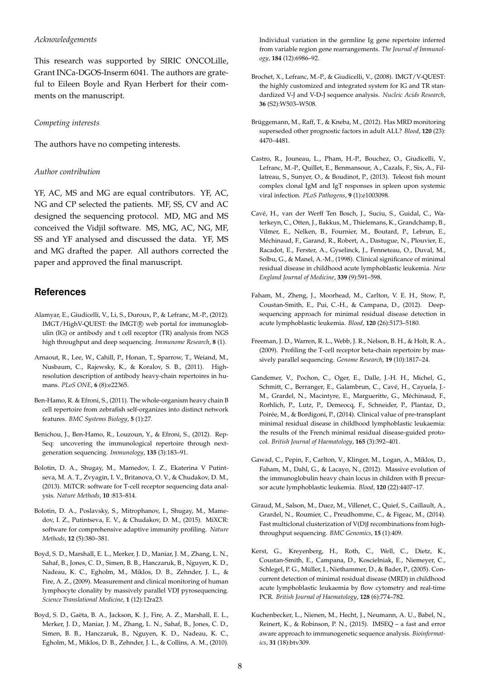#### *Acknowledgements*

This research was supported by SIRIC ONCOLille, Grant INCa-DGOS-Inserm 6041. The authors are grateful to Eileen Boyle and Ryan Herbert for their comments on the manuscript.

#### *Competing interests*

The authors have no competing interests.

#### *Author contribution*

YF, AC, MS and MG are equal contributors. YF, AC, NG and CP selected the patients. MF, SS, CV and AC designed the sequencing protocol. MD, MG and MS conceived the Vidjil software. MS, MG, AC, NG, MF, SS and YF analysed and discussed the data. YF, MS and MG drafted the paper. All authors corrected the paper and approved the final manuscript.

# **References**

- Alamyar, E., Giudicelli, V., Li, S., Duroux, P., & Lefranc, M.-P., (2012). IMGT/HighV-OUEST: the IMGT® web portal for immunoglobulin (IG) or antibody and t cell receptor (TR) analysis from NGS high throughput and deep sequencing. *Immunome Research*, **8** (1).
- Arnaout, R., Lee, W., Cahill, P., Honan, T., Sparrow, T., Weiand, M., Nusbaum, C., Rajewsky, K., & Koralov, S. B., (2011). Highresolution description of antibody heavy-chain repertoires in humans. *PLoS ONE*, **6** (8):e22365.
- Ben-Hamo, R. & Efroni, S., (2011). The whole-organism heavy chain B cell repertoire from zebrafish self-organizes into distinct network features. *BMC Systems Biology*, **5** (1):27.
- Benichou, J., Ben-Hamo, R., Louzoun, Y., & Efroni, S., (2012). Rep-Seq: uncovering the immunological repertoire through nextgeneration sequencing. *Immunology*, **135** (3):183–91.
- Bolotin, D. A., Shugay, M., Mamedov, I. Z., Ekaterina V Putintseva, M. A. T., Zvyagin, I. V., Britanova, O. V., & Chudakov, D. M., (2013). MiTCR: software for T-cell receptor sequencing data analysis. *Nature Methods*, **10** :813–814.
- Bolotin, D. A., Poslavsky, S., Mitrophanov, I., Shugay, M., Mamedov, I. Z., Putintseva, E. V., & Chudakov, D. M., (2015). MiXCR: software for comprehensive adaptive immunity profiling. *Nature Methods*, **12** (5):380–381.
- Boyd, S. D., Marshall, E. L., Merker, J. D., Maniar, J. M., Zhang, L. N., Sahaf, B., Jones, C. D., Simen, B. B., Hanczaruk, B., Nguyen, K. D., Nadeau, K. C., Egholm, M., Miklos, D. B., Zehnder, J. L., & Fire, A. Z., (2009). Measurement and clinical monitoring of human lymphocyte clonality by massively parallel VDJ pyrosequencing. *Science Translational Medicine*, **1** (12):12ra23.
- Boyd, S. D., Gaëta, B. A., Jackson, K. J., Fire, A. Z., Marshall, E. L., Merker, J. D., Maniar, J. M., Zhang, L. N., Sahaf, B., Jones, C. D., Simen, B. B., Hanczaruk, B., Nguyen, K. D., Nadeau, K. C., Egholm, M., Miklos, D. B., Zehnder, J. L., & Collins, A. M., (2010).

Individual variation in the germline Ig gene repertoire inferred from variable region gene rearrangements. *The Journal of Immunology*, **184** (12):6986–92.

- Brochet, X., Lefranc, M.-P., & Giudicelli, V., (2008). IMGT/V-QUEST: the highly customized and integrated system for IG and TR standardized V-J and V-D-J sequence analysis. *Nucleic Acids Research*, **36** (S2):W503–W508.
- Brüggemann, M., Raff, T., & Kneba, M., (2012). Has MRD monitoring superseded other prognostic factors in adult ALL? *Blood*, **120** (23): 4470–4481.
- Castro, R., Jouneau, L., Pham, H.-P., Bouchez, O., Giudicelli, V., Lefranc, M.-P., Quillet, E., Benmansour, A., Cazals, F., Six, A., Fillatreau, S., Sunyer, O., & Boudinot, P., (2013). Teleost fish mount complex clonal IgM and IgT responses in spleen upon systemic viral infection. *PLoS Pathogens*, **9** (1):e1003098.
- Cave, H., van der Werff Ten Bosch, J., Suciu, S., Guidal, C., Wa- ´ terkeyn, C., Otten, J., Bakkus, M., Thielemans, K., Grandchamp, B., Vilmer, E., Nelken, B., Fournier, M., Boutard, P., Lebrun, E., Méchinaud, F., Garand, R., Robert, A., Dastugue, N., Plouvier, E., Racadot, E., Ferster, A., Gyselinck, J., Fenneteau, O., Duval, M., Solbu, G., & Manel, A.-M., (1998). Clinical significance of minimal residual disease in childhood acute lymphoblastic leukemia. *New England Journal of Medicine*, **339** (9):591–598.
- Faham, M., Zheng, J., Moorhead, M., Carlton, V. E. H., Stow, P., Coustan-Smith, E., Pui, C.-H., & Campana, D., (2012). Deepsequencing approach for minimal residual disease detection in acute lymphoblastic leukemia. *Blood*, **120** (26):5173–5180.
- Freeman, J. D., Warren, R. L., Webb, J. R., Nelson, B. H., & Holt, R. A., (2009). Profiling the T-cell receptor beta-chain repertoire by massively parallel sequencing. *Genome Research*, **19** (10):1817–24.
- Gandemer, V., Pochon, C., Oger, E., Dalle, J.-H. H., Michel, G., Schmitt, C., Berranger, E., Galambrun, C., Cavé, H., Cayuela, J.-M., Grardel, N., Macintyre, E., Margueritte, G., Méchinaud, F., Rorhlich, P., Lutz, P., Demeocq, F., Schneider, P., Plantaz, D., Poirée, M., & Bordigoni, P., (2014). Clinical value of pre-transplant minimal residual disease in childhood lymphoblastic leukaemia: the results of the French minimal residual disease-guided protocol. *British Journal of Haematology*, **165** (3):392–401.
- Gawad, C., Pepin, F., Carlton, V., Klinger, M., Logan, A., Miklos, D., Faham, M., Dahl, G., & Lacayo, N., (2012). Massive evolution of the immunoglobulin heavy chain locus in children with B precursor acute lymphoblastic leukemia. *Blood*, **120** (22):4407–17.
- Giraud, M., Salson, M., Duez, M., Villenet, C., Quief, S., Caillault, A., Grardel, N., Roumier, C., Preudhomme, C., & Figeac, M., (2014). Fast multiclonal clusterization of V(D)J recombinations from highthroughput sequencing. *BMC Genomics*, **15** (1):409.
- Kerst, G., Kreyenberg, H., Roth, C., Well, C., Dietz, K., Coustan-Smith, E., Campana, D., Koscielniak, E., Niemeyer, C., Schlegel, P. G., Müller, I., Niethammer, D., & Bader, P., (2005). Concurrent detection of minimal residual disease (MRD) in childhood acute lymphoblastic leukaemia by flow cytometry and real-time PCR. *British Journal of Haematology*, **128** (6):774–782.
- Kuchenbecker, L., Nienen, M., Hecht, J., Neumann, A. U., Babel, N., Reinert, K., & Robinson, P. N., (2015). IMSEQ – a fast and error aware approach to immunogenetic sequence analysis. *Bioinformatics*, **31** (18):btv309.